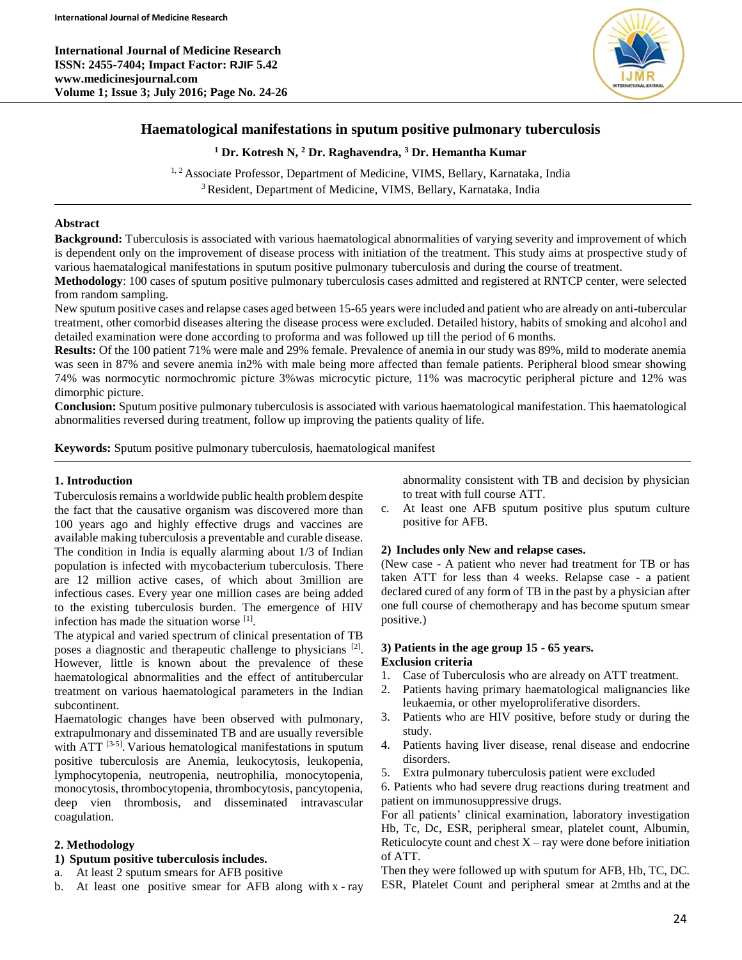**International Journal of Medicine Research ISSN: 2455-7404; Impact Factor: RJIF 5.42 www.medicinesjournal.com Volume 1; Issue 3; July 2016; Page No. 24-26**



# **Haematological manifestations in sputum positive pulmonary tuberculosis**

# **<sup>1</sup> Dr. Kotresh N, <sup>2</sup> Dr. Raghavendra, <sup>3</sup> Dr. Hemantha Kumar**

<sup>1, 2</sup> Associate Professor, Department of Medicine, VIMS, Bellary, Karnataka, India <sup>3</sup> Resident, Department of Medicine, VIMS, Bellary, Karnataka, India

### **Abstract**

**Background:** Tuberculosis is associated with various haematological abnormalities of varying severity and improvement of which is dependent only on the improvement of disease process with initiation of the treatment. This study aims at prospective study of various haematalogical manifestations in sputum positive pulmonary tuberculosis and during the course of treatment.

**Methodology**: 100 cases of sputum positive pulmonary tuberculosis cases admitted and registered at RNTCP center, were selected from random sampling.

New sputum positive cases and relapse cases aged between 15-65 years were included and patient who are already on anti-tubercular treatment, other comorbid diseases altering the disease process were excluded. Detailed history, habits of smoking and alcohol and detailed examination were done according to proforma and was followed up till the period of 6 months.

**Results:** Of the 100 patient 71% were male and 29% female. Prevalence of anemia in our study was 89%, mild to moderate anemia was seen in 87% and severe anemia in2% with male being more affected than female patients. Peripheral blood smear showing 74% was normocytic normochromic picture 3%was microcytic picture, 11% was macrocytic peripheral picture and 12% was dimorphic picture.

**Conclusion:** Sputum positive pulmonary tuberculosis is associated with various haematological manifestation. This haematological abnormalities reversed during treatment, follow up improving the patients quality of life.

**Keywords:** Sputum positive pulmonary tuberculosis, haematological manifest

## **1. Introduction**

Tuberculosis remains a worldwide public health problem despite the fact that the causative organism was discovered more than 100 years ago and highly effective drugs and vaccines are available making tuberculosis a preventable and curable disease. The condition in India is equally alarming about 1/3 of Indian population is infected with mycobacterium tuberculosis. There are 12 million active cases, of which about 3million are infectious cases. Every year one million cases are being added to the existing tuberculosis burden. The emergence of HIV infection has made the situation worse [1] .

The atypical and varied spectrum of clinical presentation of TB poses a diagnostic and therapeutic challenge to physicians <sup>[2]</sup>. However, little is known about the prevalence of these haematological abnormalities and the effect of antitubercular treatment on various haematological parameters in the Indian subcontinent.

Haematologic changes have been observed with pulmonary, extrapulmonary and disseminated TB and are usually reversible with ATT <sup>[3-5]</sup>. Various hematological manifestations in sputum positive tuberculosis are Anemia, leukocytosis, leukopenia, lymphocytopenia, neutropenia, neutrophilia, monocytopenia, monocytosis, thrombocytopenia, thrombocytosis, pancytopenia, deep vien thrombosis, and disseminated intravascular coagulation.

# **2. Methodology**

# **1) Sputum positive tuberculosis includes.**

- a. At least 2 sputum smears for AFB positive
- b. At least one positive smear for AFB along with x ray

abnormality consistent with TB and decision by physician to treat with full course ATT.

c. At least one AFB sputum positive plus sputum culture positive for AFB.

#### **2) Includes only New and relapse cases.**

(New case - A patient who never had treatment for TB or has taken ATT for less than 4 weeks. Relapse case - a patient declared cured of any form of TB in the past by a physician after one full course of chemotherapy and has become sputum smear positive.)

## **3) Patients in the age group 15 - 65 years. Exclusion criteria**

- 1. Case of Tuberculosis who are already on ATT treatment.
- 2. Patients having primary haematological malignancies like leukaemia, or other myeloproliferative disorders.
- 3. Patients who are HIV positive, before study or during the study.
- 4. Patients having liver disease, renal disease and endocrine disorders.
- 5. Extra pulmonary tuberculosis patient were excluded

6. Patients who had severe drug reactions during treatment and patient on immunosuppressive drugs.

For all patients' clinical examination, laboratory investigation Hb, Tc, Dc, ESR, peripheral smear, platelet count, Albumin, Reticulocyte count and chest  $X - ray$  were done before initiation of ATT.

Then they were followed up with sputum for AFB, Hb, TC, DC. ESR, Platelet Count and peripheral smear at 2mths and at the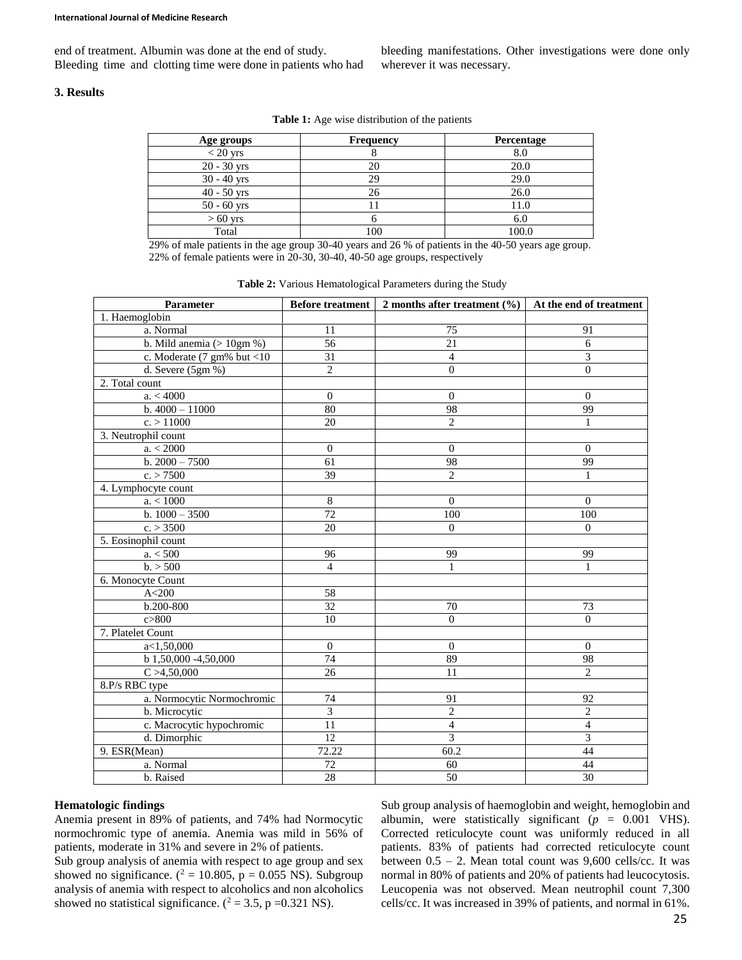end of treatment. Albumin was done at the end of study. Bleeding time and clotting time were done in patients who had bleeding manifestations. Other investigations were done only wherever it was necessary.

# **3. Results**

| Age groups    | <b>Frequency</b> | Percentage |
|---------------|------------------|------------|
| $<$ 20 yrs    |                  | 8.0        |
| $20 - 30$ yrs | 20               | 20.0       |
| $30 - 40$ yrs | 29               | 29.0       |
| $40 - 50$ yrs | 26               | 26.0       |
| $50 - 60$ yrs |                  | 11.0       |
| $> 60$ yrs    |                  | 6.0        |
| Total         | 100              | 100.0      |

**Table 1:** Age wise distribution of the patients

29% of male patients in the age group 30-40 years and 26 % of patients in the 40-50 years age group. 22% of female patients were in 20-30, 30-40, 40-50 age groups, respectively

| Parameter                             |                  | Before treatment   2 months after treatment $(\%)$   At the end of treatment |                 |
|---------------------------------------|------------------|------------------------------------------------------------------------------|-----------------|
| 1. Haemoglobin                        |                  |                                                                              |                 |
| a. Normal                             | 11               | 75                                                                           | 91              |
| b. Mild anemia $(> 10gm %)$           | $\overline{56}$  | 21                                                                           | 6               |
| c. Moderate $(7 \text{ gm\%}$ but <10 | 31               | $\overline{4}$                                                               | 3               |
| d. Severe (5gm %)                     | $\overline{2}$   | $\Omega$                                                                     | $\theta$        |
| 2. Total count                        |                  |                                                                              |                 |
| a. < 4000                             | $\overline{0}$   | $\Omega$                                                                     | $\Omega$        |
| b. $4000 - 11000$                     | 80               | 98                                                                           | 99              |
| c. > 11000                            | 20               | $\overline{2}$                                                               | 1               |
| 3. Neutrophil count                   |                  |                                                                              |                 |
| a. < 2000                             | $\overline{0}$   | $\Omega$                                                                     | $\Omega$        |
| $b.2000 - 7500$                       | 61               | 98                                                                           | 99              |
| c. > 7500                             | 39               | $\overline{c}$                                                               | $\mathbf{1}$    |
| 4. Lymphocyte count                   |                  |                                                                              |                 |
| a. $<1000\,$                          | $\,8\,$          | $\Omega$                                                                     | $\Omega$        |
| b. $1000 - 3500$                      | 72               | 100                                                                          | 100             |
| c. > 3500                             | 20               | $\Omega$                                                                     | $\Omega$        |
| 5. Eosinophil count                   |                  |                                                                              |                 |
| a. < 500                              | 96               | 99                                                                           | 99              |
| b. > 500                              | $\overline{4}$   | $\mathbf{1}$                                                                 | $\mathbf{1}$    |
| 6. Monocyte Count                     |                  |                                                                              |                 |
| A<200                                 | $\overline{58}$  |                                                                              |                 |
| b.200-800                             | 32               | 70                                                                           | 73              |
| c > 800                               | 10               | $\boldsymbol{0}$                                                             | $\Omega$        |
| 7. Platelet Count                     |                  |                                                                              |                 |
| a<1,50,000                            | $\boldsymbol{0}$ | $\Omega$                                                                     | $\Omega$        |
| b 1,50,000 -4,50,000                  | 74               | 89                                                                           | 98              |
| C > 4,50,000                          | 26               | 11                                                                           | $\overline{2}$  |
| 8.P/s RBC type                        |                  |                                                                              |                 |
| a. Normocytic Normochromic            | 74               | 91                                                                           | 92              |
| b. Microcytic                         | $\overline{3}$   | $\overline{c}$                                                               | $\overline{2}$  |
| c. Macrocytic hypochromic             | 11               | $\overline{4}$                                                               | $\overline{4}$  |
| d. Dimorphic                          | 12               | 3                                                                            | 3               |
| 9. ESR(Mean)                          | 72.22            | 60.2                                                                         | 44              |
| a. Normal                             | 72               | 60                                                                           | 44              |
| b. Raised                             | 28               | 50                                                                           | $\overline{30}$ |

**Table 2:** Various Hematological Parameters during the Study

#### **Hematologic findings**

Anemia present in 89% of patients, and 74% had Normocytic normochromic type of anemia. Anemia was mild in 56% of patients, moderate in 31% and severe in 2% of patients.

Sub group analysis of anemia with respect to age group and sex showed no significance.  $(^{2} = 10.805, p = 0.055$  NS). Subgroup analysis of anemia with respect to alcoholics and non alcoholics showed no statistical significance. ( $^2$  = 3.5, p =0.321 NS).

Sub group analysis of haemoglobin and weight, hemoglobin and albumin, were statistically significant ( $p = 0.001$  VHS). Corrected reticulocyte count was uniformly reduced in all patients. 83% of patients had corrected reticulocyte count between  $0.5 - 2$ . Mean total count was 9,600 cells/cc. It was normal in 80% of patients and 20% of patients had leucocytosis. Leucopenia was not observed. Mean neutrophil count 7,300 cells/cc. It was increased in 39% of patients, and normal in 61%.